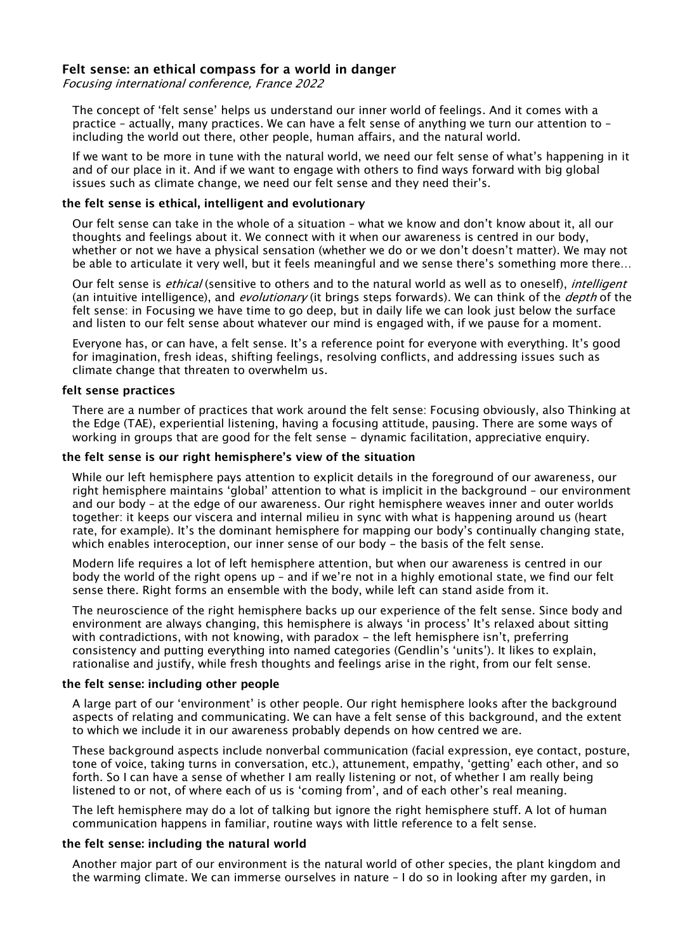## **Felt sense: an ethical compass for a world in danger**

Focusing international conference, France 2022

The concept of 'felt sense' helps us understand our inner world of feelings. And it comes with a practice – actually, many practices. We can have a felt sense of anything we turn our attention to – including the world out there, other people, human affairs, and the natural world.

If we want to be more in tune with the natural world, we need our felt sense of what's happening in it and of our place in it. And if we want to engage with others to find ways forward with big global issues such as climate change, we need our felt sense and they need their's.

### **the felt sense is ethical, intelligent and evolutionary**

Our felt sense can take in the whole of a situation – what we know and don't know about it, all our thoughts and feelings about it. We connect with it when our awareness is centred in our body, whether or not we have a physical sensation (whether we do or we don't doesn't matter). We may not be able to articulate it very well, but it feels meaningful and we sense there's something more there…

Our felt sense is *ethical* (sensitive to others and to the natural world as well as to oneself), *intelligent* (an intuitive intelligence), and *evolutionary* (it brings steps forwards). We can think of the *depth* of the felt sense: in Focusing we have time to go deep, but in daily life we can look just below the surface and listen to our felt sense about whatever our mind is engaged with, if we pause for a moment.

Everyone has, or can have, a felt sense. It's a reference point for everyone with everything. It's good for imagination, fresh ideas, shifting feelings, resolving conflicts, and addressing issues such as climate change that threaten to overwhelm us.

### **felt sense practices**

There are a number of practices that work around the felt sense: Focusing obviously, also Thinking at the Edge (TAE), experiential listening, having a focusing attitude, pausing. There are some ways of working in groups that are good for the felt sense - dynamic facilitation, appreciative enquiry.

### **the felt sense is our right hemisphere's view of the situation**

While our left hemisphere pays attention to explicit details in the foreground of our awareness, our right hemisphere maintains 'global' attention to what is implicit in the background – our environment and our body – at the edge of our awareness. Our right hemisphere weaves inner and outer worlds together: it keeps our viscera and internal milieu in sync with what is happening around us (heart rate, for example). It's the dominant hemisphere for mapping our body's continually changing state, which enables interoception, our inner sense of our body - the basis of the felt sense.

Modern life requires a lot of left hemisphere attention, but when our awareness is centred in our body the world of the right opens up – and if we're not in a highly emotional state, we find our felt sense there. Right forms an ensemble with the body, while left can stand aside from it.

The neuroscience of the right hemisphere backs up our experience of the felt sense. Since body and environment are always changing, this hemisphere is always 'in process' It's relaxed about sitting with contradictions, with not knowing, with paradox - the left hemisphere isn't, preferring consistency and putting everything into named categories (Gendlin's 'units'). It likes to explain, rationalise and justify, while fresh thoughts and feelings arise in the right, from our felt sense.

#### **the felt sense: including other people**

A large part of our 'environment' is other people. Our right hemisphere looks after the background aspects of relating and communicating. We can have a felt sense of this background, and the extent to which we include it in our awareness probably depends on how centred we are.

These background aspects include nonverbal communication (facial expression, eye contact, posture, tone of voice, taking turns in conversation, etc.), attunement, empathy, 'getting' each other, and so forth. So I can have a sense of whether I am really listening or not, of whether I am really being listened to or not, of where each of us is 'coming from', and of each other's real meaning.

The left hemisphere may do a lot of talking but ignore the right hemisphere stuff. A lot of human communication happens in familiar, routine ways with little reference to a felt sense.

#### **the felt sense: including the natural world**

Another major part of our environment is the natural world of other species, the plant kingdom and the warming climate. We can immerse ourselves in nature – I do so in looking after my garden, in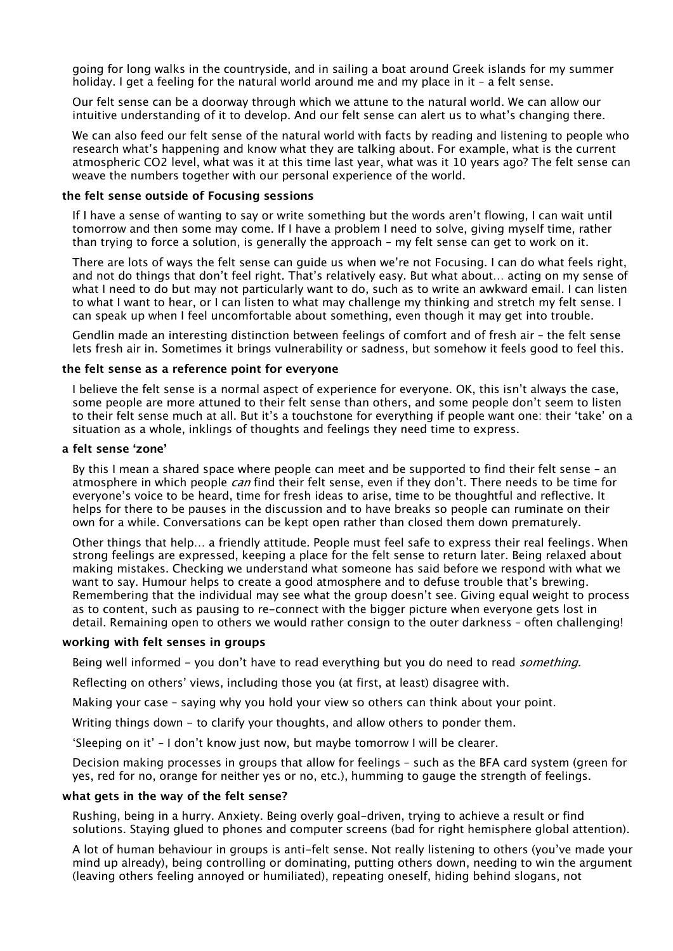going for long walks in the countryside, and in sailing a boat around Greek islands for my summer holiday. I get a feeling for the natural world around me and my place in it – a felt sense.

Our felt sense can be a doorway through which we attune to the natural world. We can allow our intuitive understanding of it to develop. And our felt sense can alert us to what's changing there.

We can also feed our felt sense of the natural world with facts by reading and listening to people who research what's happening and know what they are talking about. For example, what is the current atmospheric CO2 level, what was it at this time last year, what was it 10 years ago? The felt sense can weave the numbers together with our personal experience of the world.

#### **the felt sense outside of Focusing sessions**

If I have a sense of wanting to say or write something but the words aren't flowing, I can wait until tomorrow and then some may come. If I have a problem I need to solve, giving myself time, rather than trying to force a solution, is generally the approach – my felt sense can get to work on it.

There are lots of ways the felt sense can guide us when we're not Focusing. I can do what feels right, and not do things that don't feel right. That's relatively easy. But what about… acting on my sense of what I need to do but may not particularly want to do, such as to write an awkward email. I can listen to what I want to hear, or I can listen to what may challenge my thinking and stretch my felt sense. I can speak up when I feel uncomfortable about something, even though it may get into trouble.

Gendlin made an interesting distinction between feelings of comfort and of fresh air – the felt sense lets fresh air in. Sometimes it brings vulnerability or sadness, but somehow it feels good to feel this.

### **the felt sense as a reference point for everyone**

I believe the felt sense is a normal aspect of experience for everyone. OK, this isn't always the case, some people are more attuned to their felt sense than others, and some people don't seem to listen to their felt sense much at all. But it's a touchstone for everything if people want one: their 'take' on a situation as a whole, inklings of thoughts and feelings they need time to express.

#### **a felt sense 'zone'**

By this I mean a shared space where people can meet and be supported to find their felt sense – an atmosphere in which people *can* find their felt sense, even if they don't. There needs to be time for everyone's voice to be heard, time for fresh ideas to arise, time to be thoughtful and reflective. It helps for there to be pauses in the discussion and to have breaks so people can ruminate on their own for a while. Conversations can be kept open rather than closed them down prematurely.

Other things that help… a friendly attitude. People must feel safe to express their real feelings. When strong feelings are expressed, keeping a place for the felt sense to return later. Being relaxed about making mistakes. Checking we understand what someone has said before we respond with what we want to say. Humour helps to create a good atmosphere and to defuse trouble that's brewing. Remembering that the individual may see what the group doesn't see. Giving equal weight to process as to content, such as pausing to re-connect with the bigger picture when everyone gets lost in detail. Remaining open to others we would rather consign to the outer darkness – often challenging!

#### **working with felt senses in groups**

Being well informed - you don't have to read everything but you do need to read *something.* 

Reflecting on others' views, including those you (at first, at least) disagree with.

Making your case – saying why you hold your view so others can think about your point.

Writing things down - to clarify your thoughts, and allow others to ponder them.

'Sleeping on it' – I don't know just now, but maybe tomorrow I will be clearer.

Decision making processes in groups that allow for feelings – such as the BFA card system (green for yes, red for no, orange for neither yes or no, etc.), humming to gauge the strength of feelings.

#### **what gets in the way of the felt sense?**

Rushing, being in a hurry. Anxiety. Being overly goal-driven, trying to achieve a result or find solutions. Staying glued to phones and computer screens (bad for right hemisphere global attention).

A lot of human behaviour in groups is anti-felt sense. Not really listening to others (you've made your mind up already), being controlling or dominating, putting others down, needing to win the argument (leaving others feeling annoyed or humiliated), repeating oneself, hiding behind slogans, not